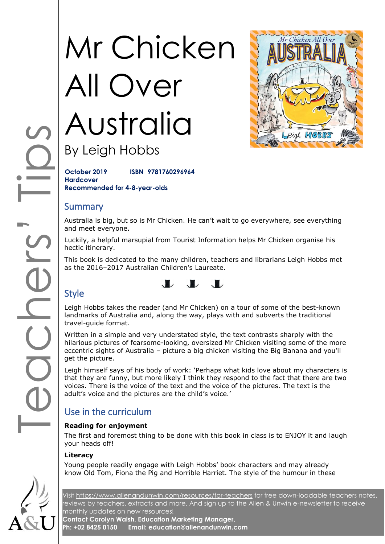# Mr Chicken All Over Australia

By Leigh Hobbs

**October 2019 ISBN 9781760296964 Hardcover Recommended for 4-8-year-olds**

# **Summary**

Australia is big, but so is Mr Chicken. He can't wait to go everywhere, see everything and meet everyone.

Luckily, a helpful marsupial from Tourist Information helps Mr Chicken organise his hectic itinerary.

This book is dedicated to the many children, teachers and librarians Leigh Hobbs met as the 2016–2017 Australian Children's Laureate.

# $\mathbf{L}$   $\mathbf{L}$   $\mathbf{L}$

# Style

Leigh Hobbs takes the reader (and Mr Chicken) on a tour of some of the best-known landmarks of Australia and, along the way, plays with and subverts the traditional travel-guide format.

SIPSITES Written in a simple and very understated style, the text contrasts sharply with the hilarious pictures of fearsome-looking, oversized Mr Chicken visiting some of the more eccentric sights of Australia – picture a big chicken visiting the Big Banana and you'll get the picture.

Leigh himself says of his body of work: 'Perhaps what kids love about my characters is that they are funny, but more likely I think they respond to the fact that there are two voices. There is the voice of the text and the voice of the pictures. The text is the adult's voice and the pictures are the child's voice.'

# Use in the curriculum

#### **Reading for enjoyment**

The first and foremost thing to be done with this book in class is to ENJOY it and laugh your heads off!

#### **Literacy**

Young people readily engage with Leigh Hobbs' book characters and may already know Old Tom, Fiona the Pig and Horrible Harriet. The style of the humour in these

Visit<https://www.allenandunwin.com/resources/for-teachers> for free down-loadable teachers notes, reviews by teachers, extracts and more. And sign up to the Allen & Unwin e-newsletter to receive monthly updates on new resources!

**Contact Carolyn Walsh, Education Marketing Manager, Ph: +02 8425 0150 Email: education@allenandunwin.com**



Mr Chicken All Ove

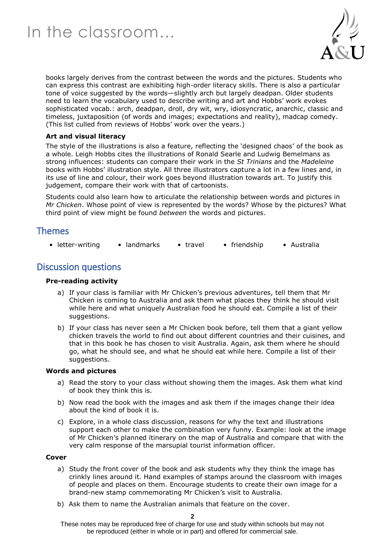

books largely derives from the contrast between the words and the pictures. Students who can express this contrast are exhibiting high-order literacy skills. There is also a particular tone of voice suggested by the words—slightly arch but largely deadpan. Older students need to learn the vocabulary used to describe writing and art and Hobbs' work evokes sophisticated vocab.: arch, deadpan, droll, dry wit, wry, idiosyncratic, anarchic, classic and timeless, juxtaposition (of words and images; expectations and reality), madcap comedy. (This list culled from reviews of Hobbs' work over the years.)

#### **Art and visual literacy**

The style of the illustrations is also a feature, reflecting the 'designed chaos' of the book as a whole. Leigh Hobbs cites the illustrations of Ronald Searle and Ludwig Bemelmans as strong influences: students can compare their work in the *St Trinians* and the *Madeleine* books with Hobbs' illustration style. All three illustrators capture a lot in a few lines and, in its use of line and colour, their work goes beyond illustration towards art. To justify this judgement, compare their work with that of cartoonists.

Students could also learn how to articulate the relationship between words and pictures in *Mr Chicken*. Whose point of view is represented by the words? Whose by the pictures? What third point of view might be found *between* the words and pictures.

# Themes

• letter-writing • landmarks • travel • friendship • Australia

# Discussion questions

#### **Pre-reading activity**

- a) If your class is familiar with Mr Chicken's previous adventures, tell them that Mr Chicken is coming to Australia and ask them what places they think he should visit while here and what uniquely Australian food he should eat. Compile a list of their suggestions.
- b) If your class has never seen a Mr Chicken book before, tell them that a giant yellow chicken travels the world to find out about different countries and their cuisines, and that in this book he has chosen to visit Australia. Again, ask them where he should go, what he should see, and what he should eat while here. Compile a list of their suggestions.

#### **Words and pictures**

- a) Read the story to your class without showing them the images. Ask them what kind of book they think this is.
- b) Now read the book with the images and ask them if the images change their idea about the kind of book it is.
- c) Explore, in a whole class discussion, reasons for why the text and illustrations support each other to make the combination very funny. Example: look at the image of Mr Chicken's planned itinerary on the map of Australia and compare that with the very calm response of the marsupial tourist information officer.

#### **Cover**

- a) Study the front cover of the book and ask students why they think the image has crinkly lines around it. Hand examples of stamps around the classroom with images of people and places on them. Encourage students to create their own image for a brand-new stamp commemorating Mr Chicken's visit to Australia.
- b) Ask them to name the Australian animals that feature on the cover.

**2**

These notes may be reproduced free of charge for use and study within schools but may not be reproduced (either in whole or in part) and offered for commercial sale.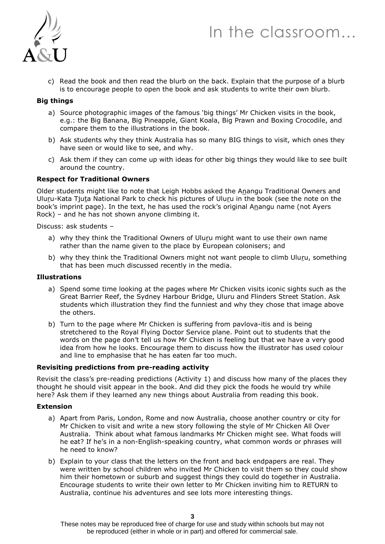# In the classroom…



c) Read the book and then read the blurb on the back. Explain that the purpose of a blurb is to encourage people to open the book and ask students to write their own blurb.

#### **Big things**

- a) Source photographic images of the famous 'big things' Mr Chicken visits in the book, e.g.: the Big Banana, Big Pineapple, Giant Koala, Big Prawn and Boxing Crocodile, and compare them to the illustrations in the book.
- b) Ask students why they think Australia has so many BIG things to visit, which ones they have seen or would like to see, and why.
- c) Ask them if they can come up with ideas for other big things they would like to see built around the country.

#### **Respect for Traditional Owners**

Older students might like to note that Leigh Hobbs asked the Anangu Traditional Owners and Uluru-Kata Tjuta National Park to check his pictures of Uluru in the book (see the note on the book's imprint page). In the text, he has used the rock's original Anangu name (not Ayers Rock) – and he has not shown anyone climbing it.

Discuss: ask students –

- a) why they think the Traditional Owners of Uluru might want to use their own name rather than the name given to the place by European colonisers; and
- b) why they think the Traditional Owners might not want people to climb Uluru, something that has been much discussed recently in the media.

#### **Illustrations**

- a) Spend some time looking at the pages where Mr Chicken visits iconic sights such as the Great Barrier Reef, the Sydney Harbour Bridge, Uluru and Flinders Street Station. Ask students which illustration they find the funniest and why they chose that image above the others.
- b) Turn to the page where Mr Chicken is suffering from pavlova-itis and is being stretchered to the Royal Flying Doctor Service plane. Point out to students that the words on the page don't tell us how Mr Chicken is feeling but that we have a very good idea from how he looks. Encourage them to discuss how the illustrator has used colour and line to emphasise that he has eaten far too much.

#### **Revisiting predictions from pre-reading activity**

Revisit the class's pre-reading predictions (Activity 1) and discuss how many of the places they thought he should visit appear in the book. And did they pick the foods he would try while here? Ask them if they learned any new things about Australia from reading this book.

#### **Extension**

- a) Apart from Paris, London, Rome and now Australia, choose another country or city for Mr Chicken to visit and write a new story following the style of Mr Chicken All Over Australia. Think about what famous landmarks Mr Chicken might see. What foods will he eat? If he's in a non-English-speaking country, what common words or phrases will he need to know?
- b) Explain to your class that the letters on the front and back endpapers are real. They were written by school children who invited Mr Chicken to visit them so they could show him their hometown or suburb and suggest things they could do together in Australia. Encourage students to write their own letter to Mr Chicken inviting him to RETURN to Australia, continue his adventures and see lots more interesting things.

These notes may be reproduced free of charge for use and study within schools but may not be reproduced (either in whole or in part) and offered for commercial sale.